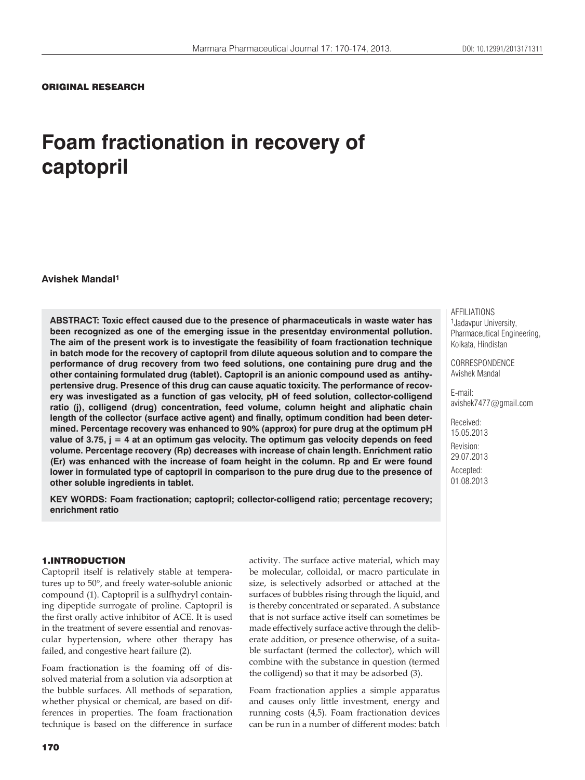## ORIGINAL RESEARCH

# **Foam fractionation in recovery of captopril**

**Avishek Mandal1**

**ABSTRACT: Toxic effect caused due to the presence of pharmaceuticals in waste water has been recognized as one of the emerging issue in the presentday environmental pollution. The aim of the present work is to investigate the feasibility of foam fractionation technique in batch mode for the recovery of captopril from dilute aqueous solution and to compare the performance of drug recovery from two feed solutions, one containing pure drug and the other containing formulated drug (tablet). Captopril is an anionic compound used as antihypertensive drug. Presence of this drug can cause aquatic toxicity. The performance of recovery was investigated as a function of gas velocity, pH of feed solution, collector-colligend ratio (j), colligend (drug) concentration, feed volume, column height and aliphatic chain length of the collector (surface active agent) and finally, optimum condition had been determined. Percentage recovery was enhanced to 90% (approx) for pure drug at the optimum pH value of 3.75, j = 4 at an optimum gas velocity. The optimum gas velocity depends on feed volume. Percentage recovery (Rp) decreases with increase of chain length. Enrichment ratio (Er) was enhanced with the increase of foam height in the column. Rp and Er were found lower in formulated type of captopril in comparison to the pure drug due to the presence of other soluble ingredients in tablet.**

**KEY WORDS: Foam fractionation; captopril; collector-colligend ratio; percentage recovery; enrichment ratio**

#### 1.INTRODUCTION

Captopril itself is relatively stable at temperatures up to  $50^{\circ}$ , and freely water-soluble anionic compound (1). Captopril is a sulfhydryl containing dipeptide surrogate of proline. Captopril is the first orally active inhibitor of ACE. It is used in the treatment of severe essential and renovascular hypertension, where other therapy has failed, and congestive heart failure (2).

Foam fractionation is the foaming off of dissolved material from a solution via adsorption at the bubble surfaces. All methods of separation, whether physical or chemical, are based on differences in properties. The foam fractionation technique is based on the difference in surface activity. The surface active material, which may be molecular, colloidal, or macro particulate in size, is selectively adsorbed or attached at the surfaces of bubbles rising through the liquid, and is thereby concentrated or separated. A substance that is not surface active itself can sometimes be made effectively surface active through the deliberate addition, or presence otherwise, of a suitable surfactant (termed the collector), which will combine with the substance in question (termed the colligend) so that it may be adsorbed (3).

Foam fractionation applies a simple apparatus and causes only little investment, energy and running costs (4,5). Foam fractionation devices can be run in a number of different modes: batch AFFILIATIONS 1Jadavpur University, Pharmaceutical Engineering, Kolkata, Hindistan

CORRESPONDENCE Avishek Mandal

E-mail: avishek7477@gmail.com

Received: 15.05.2013 Revision: 29.07.2013 Accepted: 01.08.2013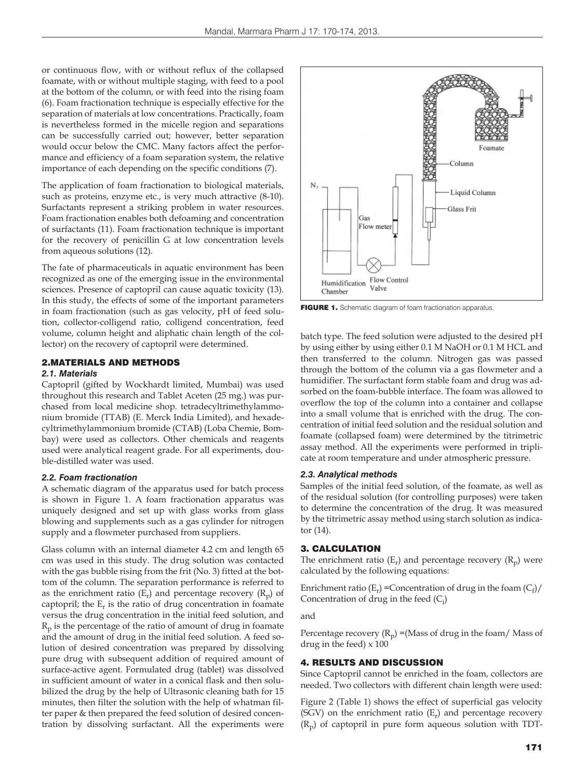or continuous flow, with or without reflux of the collapsed foamate, with or without multiple staging, with feed to a pool at the bottom of the column, or with feed into the rising foam (6). Foam fractionation technique is especially effective for the separation of materials at low concentrations. Practically, foam is nevertheless formed in the micelle region and separations can be successfully carried out; however, better separation would occur below the CMC. Many factors affect the performance and efficiency of a foam separation system, the relative importance of each depending on the specific conditions (7).

The application of foam fractionation to biological materials, such as proteins, enzyme etc., is very much attractive (8-10). Surfactants represent a striking problem in water resources. Foam fractionation enables both defoaming and concentration of surfactants (11). Foam fractionation technique is important for the recovery of penicillin G at low concentration levels from aqueous solutions (12).

The fate of pharmaceuticals in aquatic environment has been recognized as one of the emerging issue in the environmental sciences. Presence of captopril can cause aquatic toxicity (13). In this study, the effects of some of the important parameters in foam fractionation (such as gas velocity, pH of feed solution, collector-colligend ratio, colligend concentration, feed volume, column height and aliphatic chain length of the collector) on the recovery of captopril were determined.

#### 2.MATERIALS AND METHODS

#### *2.1. Materials*

Captopril (gifted by Wockhardt limited, Mumbai) was used throughout this research and Tablet Aceten (25 mg.) was purchased from local medicine shop. tetradecyltrimethylammonium bromide (TTAB) (E. Merck India Limited), and hexadecyltrimethylammonium bromide (CTAB) (Loba Chemie, Bombay) were used as collectors. Other chemicals and reagents used were analytical reagent grade. For all experiments, double-distilled water was used.

#### *2.2. Foam fractionation*

A schematic diagram of the apparatus used for batch process is shown in Figure 1. A foam fractionation apparatus was uniquely designed and set up with glass works from glass blowing and supplements such as a gas cylinder for nitrogen supply and a flowmeter purchased from suppliers.

Glass column with an internal diameter 4.2 cm and length 65 cm was used in this study. The drug solution was contacted with the gas bubble rising from the frit (No. 3) fitted at the bottom of the column. The separation performance is referred to as the enrichment ratio  $(E_r)$  and percentage recovery  $(R_p)$  of captopril; the  $E_r$  is the ratio of drug concentration in foamate versus the drug concentration in the initial feed solution, and  $R_p$  is the percentage of the ratio of amount of drug in foamate and the amount of drug in the initial feed solution. A feed solution of desired concentration was prepared by dissolving pure drug with subsequent addition of required amount of surface-active agent. Formulated drug (tablet) was dissolved in sufficient amount of water in a conical flask and then solubilized the drug by the help of Ultrasonic cleaning bath for 15 minutes, then filter the solution with the help of whatman filter paper & then prepared the feed solution of desired concentration by dissolving surfactant. All the experiments were



FIGURE 1. Schematic diagram of foam fractionation apparatus.

batch type. The feed solution were adjusted to the desired pH by using either by using either 0.1 M NaOH or 0.1 M HCL and then transferred to the column. Nitrogen gas was passed through the bottom of the column via a gas flowmeter and a humidifier. The surfactant form stable foam and drug was adsorbed on the foam-bubble interface. The foam was allowed to overflow the top of the column into a container and collapse into a small volume that is enriched with the drug. The concentration of initial feed solution and the residual solution and foamate (collapsed foam) were determined by the titrimetric assay method. All the experiments were performed in triplicate at room temperature and under atmospheric pressure.

#### *2.3. Analytical methods*

Samples of the initial feed solution, of the foamate, as well as of the residual solution (for controlling purposes) were taken to determine the concentration of the drug. It was measured by the titrimetric assay method using starch solution as indicator (14).

#### 3. CALCULATION

The enrichment ratio  $(E_r)$  and percentage recovery  $(R_n)$  were calculated by the following equations:

Enrichment ratio ( $E_r$ ) = Concentration of drug in the foam ( $C_f$ )/ Concentration of drug in the feed  $(C_i)$ 

#### and

Percentage recovery  $(R_p)$  =(Mass of drug in the foam/ Mass of drug in the feed) x 100

## 4. RESULTS AND DISCUSSION

Since Captopril cannot be enriched in the foam, collectors are needed. Two collectors with different chain length were used:

Figure 2 (Table 1) shows the effect of superficial gas velocity (SGV) on the enrichment ratio  $(E_r)$  and percentage recovery  $(R_p)$  of captopril in pure form aqueous solution with TDT-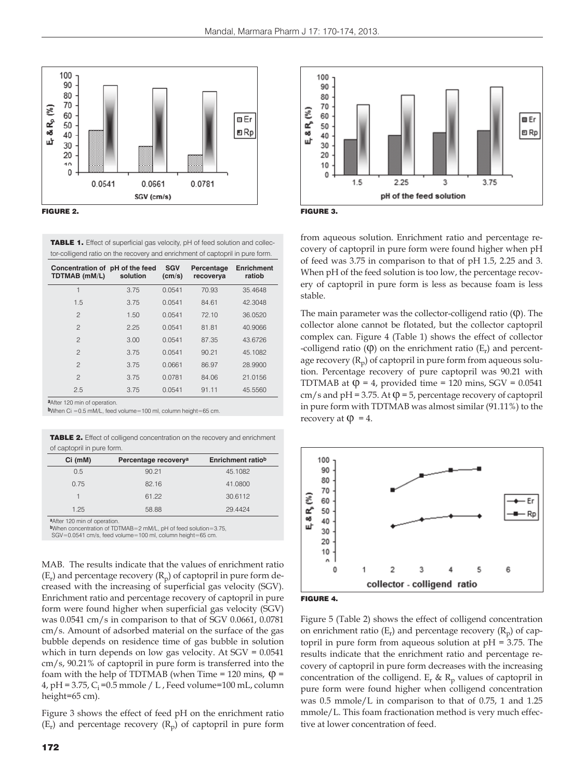

TABLE 1. Effect of superficial gas velocity, pH of feed solution and collector-colligend ratio on the recovery and enrichment of captopril in pure form.

| Concentration of pH of the feed<br>TDTMAB (mM/L) | solution | <b>SGV</b><br>(cm/s) | Percentage<br>recoverya | <b>Enrichment</b><br>ratiob |
|--------------------------------------------------|----------|----------------------|-------------------------|-----------------------------|
| 1                                                | 3.75     | 0.0541               | 70.93                   | 35.4648                     |
| 1.5                                              | 3.75     | 0.0541               | 84.61                   | 42.3048                     |
| $\mathbf{2}$                                     | 1.50     | 0.0541               | 72.10                   | 36.0520                     |
| $\overline{c}$                                   | 2.25     | 0.0541               | 81.81                   | 40.9066                     |
| $\overline{c}$                                   | 3.00     | 0.0541               | 87.35                   | 43.6726                     |
| $\overline{c}$                                   | 3.75     | 0.0541               | 90.21                   | 45.1082                     |
| $\overline{c}$                                   | 3.75     | 0.0661               | 86.97                   | 28.9900                     |
| $\overline{c}$                                   | 3.75     | 0.0781               | 84.06                   | 21.0156                     |
| 2.5                                              | 3.75     | 0.0541               | 91.11                   | 45.5560                     |

**a**After 120 min of operation.

**b**When Ci =0.5 mM/L, feed volume=100 ml, column height=65 cm.

TABLE 2. Effect of colligend concentration on the recovery and enrichment of captopril in pure form.

| $Ci$ (mM) | Percentage recovery <sup>a</sup> | Enrichment ratiob |
|-----------|----------------------------------|-------------------|
| 0.5       | 90.21                            | 45.1082           |
| 0.75      | 82.16                            | 41.0800           |
| 1         | 61.22                            | 30.6112           |
| 1.25      | 58.88                            | 29.4424           |

**a**After 120 min of operation.

**b**When concentration of TDTMAB=2 mM/L, pH of feed solution=3.75,

SGV=0.0541 cm/s, feed volume=100 ml, column height=65 cm.

MAB. The results indicate that the values of enrichment ratio  $(E_r)$  and percentage recovery  $(R_n)$  of captopril in pure form decreased with the increasing of superficial gas velocity (SGV). Enrichment ratio and percentage recovery of captopril in pure form were found higher when superficial gas velocity (SGV) was 0.0541 cm/s in comparison to that of SGV 0.0661, 0.0781 cm/s. Amount of adsorbed material on the surface of the gas bubble depends on residence time of gas bubble in solution which in turn depends on low gas velocity. At SGV = 0.0541 cm/s, 90.21% of captopril in pure form is transferred into the foam with the help of TDTMAB (when Time = 120 mins,  $\varphi$  = 4, pH = 3.75,  $C_i$  = 0.5 mmole / L, Feed volume=100 mL, column height=65 cm).

Figure 3 shows the effect of feed pH on the enrichment ratio  $(E_r)$  and percentage recovery  $(R_p)$  of captopril in pure form





from aqueous solution. Enrichment ratio and percentage recovery of captopril in pure form were found higher when pH of feed was 3.75 in comparison to that of pH 1.5, 2.25 and 3. When pH of the feed solution is too low, the percentage recovery of captopril in pure form is less as because foam is less stable.

The main parameter was the collector-colligend ratio  $(\phi)$ . The collector alone cannot be flotated, but the collector captopril complex can. Figure 4 (Table 1) shows the effect of collector -colligend ratio  $(\varphi)$  on the enrichment ratio  $(E_r)$  and percentage recovery  $(R_p)$  of captopril in pure form from aqueous solution. Percentage recovery of pure captopril was 90.21 with TDTMAB at  $\varphi = 4$ , provided time = 120 mins, SGV = 0.0541 cm/s and pH = 3.75. At  $\varphi$  = 5, percentage recovery of captopril in pure form with TDTMAB was almost similar (91.11%) to the recovery at  $\Phi = 4$ .





Figure 5 (Table 2) shows the effect of colligend concentration on enrichment ratio  $(E_r)$  and percentage recovery  $(R_p)$  of captopril in pure form from aqueous solution at pH = 3.75. The results indicate that the enrichment ratio and percentage recovery of captopril in pure form decreases with the increasing concentration of the colligend.  $E_r$  &  $R_p$  values of captopril in pure form were found higher when colligend concentration was 0.5 mmole/L in comparison to that of 0.75, 1 and 1.25 mmole/L. This foam fractionation method is very much effective at lower concentration of feed.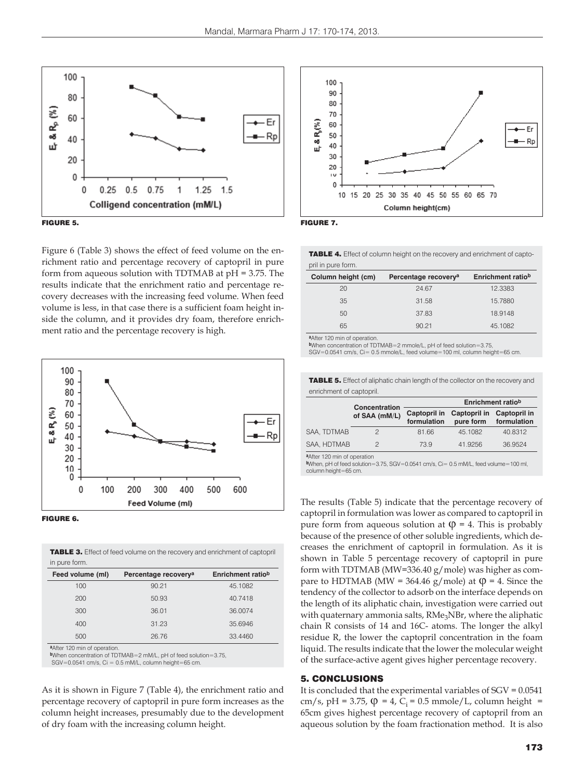



Figure 6 (Table 3) shows the effect of feed volume on the enrichment ratio and percentage recovery of captopril in pure form from aqueous solution with TDTMAB at pH = 3.75. The results indicate that the enrichment ratio and percentage recovery decreases with the increasing feed volume. When feed volume is less, in that case there is a sufficient foam height inside the column, and it provides dry foam, therefore enrichment ratio and the percentage recovery is high.





TABLE 3. Effect of feed volume on the recovery and enrichment of captopril in pure form.

| $111$ put $0$ tottil. |                                  |                   |
|-----------------------|----------------------------------|-------------------|
| Feed volume (ml)      | Percentage recovery <sup>a</sup> | Enrichment ratiob |
| 100                   | 90.21                            | 45.1082           |
| 200                   | 50.93                            | 40.7418           |
| 300                   | 36.01                            | 36.0074           |
| 400                   | 31.23                            | 35.6946           |
| 500                   | 26.76                            | 33,4460           |
|                       |                                  |                   |

**a**After 120 min of operation.

**b**When concentration of TDTMAB=2 mM/L, pH of feed solution=3.75,  $SGV=0.0541$  cm/s,  $Ci = 0.5$  mM/L, column height=65 cm.

As it is shown in Figure 7 (Table 4), the enrichment ratio and percentage recovery of captopril in pure form increases as the column height increases, presumably due to the development of dry foam with the increasing column height.





TABLE 4. Effect of column height on the recovery and enrichment of captopril in pure form.

| Column height (cm) | Percentage recovery <sup>a</sup> | Enrichment ratiob |
|--------------------|----------------------------------|-------------------|
| 20                 | 24.67                            | 12.3383           |
| 35                 | 31.58                            | 15.7880           |
| 50                 | 37.83                            | 18.9148           |
| 65                 | 90.21                            | 45.1082           |

**a**After 120 min of operation.

**b**When concentration of TDTMAB=2 mmole/L, pH of feed solution=3.75,

 $SGV=0.0541$  cm/s,  $Ci=0.5$  mmole/L, feed volume=100 ml, column height=65 cm.

TABLE 5. Effect of aliphatic chain length of the collector on the recovery and enrichment of captopril.

|             | Concentration |                             | Enrichment ratiob         |                             |  |
|-------------|---------------|-----------------------------|---------------------------|-----------------------------|--|
|             | of SAA (mM/L) | Captopril in<br>formulation | Captopril in<br>pure form | Captopril in<br>formulation |  |
| SAA. TDTMAB |               | 81.66                       | 45.1082                   | 40.8312                     |  |
| SAA, HDTMAB |               | 73.9                        | 41.9256                   | 36.9524                     |  |

**a**After 120 min of operation

**b**When, pH of feed solution=3.75, SGV=0.0541 cm/s, Ci= 0.5 mM/L, feed volume=100 ml, column height=65 cm.

The results (Table 5) indicate that the percentage recovery of captopril in formulation was lower as compared to captopril in pure form from aqueous solution at  $\varphi = 4$ . This is probably because of the presence of other soluble ingredients, which decreases the enrichment of captopril in formulation. As it is shown in Table 5 percentage recovery of captopril in pure form with TDTMAB (MW=336.40 g/mole) was higher as compare to HDTMAB (MW = 364.46 g/mole) at  $\varphi$  = 4. Since the tendency of the collector to adsorb on the interface depends on the length of its aliphatic chain, investigation were carried out with quaternary ammonia salts, RMe<sub>3</sub>NBr, where the aliphatic chain R consists of 14 and 16C- atoms. The longer the alkyl residue R, the lower the captopril concentration in the foam liquid. The results indicate that the lower the molecular weight of the surface-active agent gives higher percentage recovery.

#### 5. CONCLUSIONS

It is concluded that the experimental variables of SGV = 0.0541 cm/s, pH = 3.75,  $\varphi$  = 4, C<sub>i</sub> = 0.5 mmole/L, column height = 65cm gives highest percentage recovery of captopril from an aqueous solution by the foam fractionation method. It is also